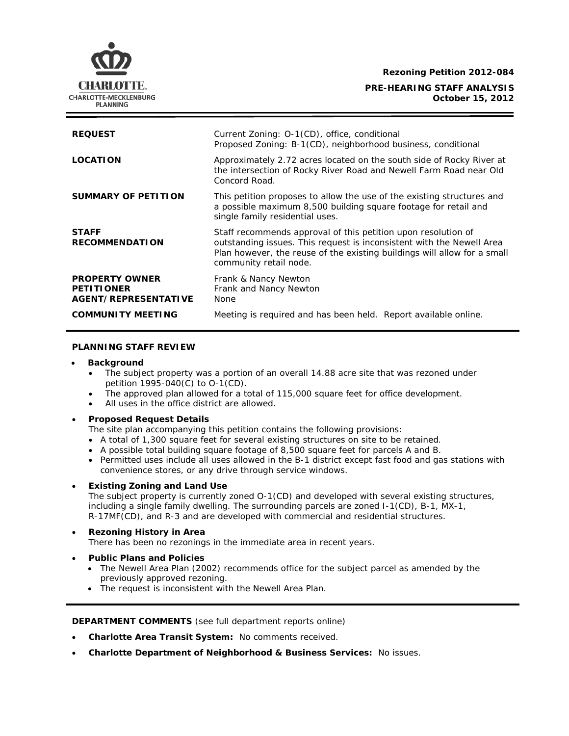**Rezoning Petition 2012-084**

## **PRE-HEARING STAFF ANALYSIS October 15, 2012**



## **PLANNING STAFF REVIEW**

#### • **Background**

- The subject property was a portion of an overall 14.88 acre site that was rezoned under petition 1995-040(C) to O-1(CD).
- The approved plan allowed for a total of 115,000 square feet for office development.
- All uses in the office district are allowed.

#### • **Proposed Request Details**

The site plan accompanying this petition contains the following provisions:

- A total of 1,300 square feet for several existing structures on site to be retained.
- A possible total building square footage of 8,500 square feet for parcels A and B.
- Permitted uses include all uses allowed in the B-1 district except fast food and gas stations with convenience stores, or any drive through service windows.

# • **Existing Zoning and Land Use**

The subject property is currently zoned O-1(CD) and developed with several existing structures, including a single family dwelling. The surrounding parcels are zoned I-1(CD), B-1, MX-1, R-17MF(CD), and R-3 and are developed with commercial and residential structures.

## • **Rezoning History in Area**

There has been no rezonings in the immediate area in recent years.

## • **Public Plans and Policies**

- The *Newell Area Plan* (2002) recommends office for the subject parcel as amended by the previously approved rezoning.
- The request is inconsistent with the *Newell Area Plan*.

**DEPARTMENT COMMENTS** (see full department reports online)

- **Charlotte Area Transit System:** No comments received.
- **Charlotte Department of Neighborhood & Business Services:** No issues.